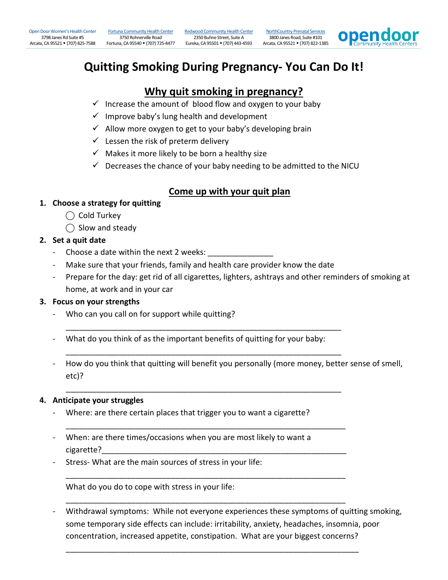[Fortuna Community Health Center](http://opendoorhealth.com/opendoor/fortuna-chc-prenatal-services/)  3750 Rohnerville Road

Fortuna, CA 95540 (707) 725-4477 Eureka, CA 95501 (707) 443-4593 Arcata, CA 95521 (707) 822-1385 [Redwood Community Health Center](http://opendoorhealth.com/opendoor/redwood-chc-prenatal-services/) 2350 Buhne Street, Suite A

[NorthCountry Prenatal Services](http://opendoorhealth.com/opendoor/locations/northcountry-prenatal-services/) 3800 Janes Road, Suite #101



# **Quitting Smoking During Pregnancy- You Can Do It!**

# **Why quit smoking in pregnancy?**

- $\checkmark$  Increase the amount of blood flow and oxygen to your baby
- $\checkmark$  Improve baby's lung health and development
- $\checkmark$  Allow more oxygen to get to your baby's developing brain
- $\checkmark$  Lessen the risk of preterm delivery
- $\checkmark$  Makes it more likely to be born a healthy size
- $\checkmark$  Decreases the chance of your baby needing to be admitted to the NICU

# **Come up with your quit plan**

- **1. Choose a strategy for quitting**
	- $\bigcap$  Cold Turkey
	- ◯ Slow and steady

## **2. Set a quit date**

- Choose a date within the next 2 weeks:
- Make sure that your friends, family and health care provider know the date
- Prepare for the day: get rid of all cigarettes, lighters, ashtrays and other reminders of smoking at home, at work and in your car

### **3. Focus on your strengths**

- Who can you call on for support while quitting?
- What do you think of as the important benefits of quitting for your baby:

\_\_\_\_\_\_\_\_\_\_\_\_\_\_\_\_\_\_\_\_\_\_\_\_\_\_\_\_\_\_\_\_\_\_\_\_\_\_\_\_\_\_\_\_\_\_\_\_\_\_\_\_\_\_\_\_\_\_\_\_\_\_\_

\_\_\_\_\_\_\_\_\_\_\_\_\_\_\_\_\_\_\_\_\_\_\_\_\_\_\_\_\_\_\_\_\_\_\_\_\_\_\_\_\_\_\_\_\_\_\_\_\_\_\_\_\_\_\_\_\_\_\_\_\_\_\_

\_\_\_\_\_\_\_\_\_\_\_\_\_\_\_\_\_\_\_\_\_\_\_\_\_\_\_\_\_\_\_\_\_\_\_\_\_\_\_\_\_\_\_\_\_\_\_\_\_\_\_\_\_\_\_\_\_\_\_\_\_\_\_

\_\_\_\_\_\_\_\_\_\_\_\_\_\_\_\_\_\_\_\_\_\_\_\_\_\_\_\_\_\_\_\_\_\_\_\_\_\_\_\_\_\_\_\_\_\_\_\_\_\_\_\_\_\_\_\_\_\_\_\_\_\_\_\_

\_\_\_\_\_\_\_\_\_\_\_\_\_\_\_\_\_\_\_\_\_\_\_\_\_\_\_\_\_\_\_\_\_\_\_\_\_\_\_\_\_\_\_\_\_\_\_\_\_\_\_\_\_\_\_\_\_\_\_\_\_\_\_\_

\_\_\_\_\_\_\_\_\_\_\_\_\_\_\_\_\_\_\_\_\_\_\_\_\_\_\_\_\_\_\_\_\_\_\_\_\_\_\_\_\_\_\_\_\_\_\_\_\_\_\_\_\_\_\_\_\_\_\_\_\_\_\_\_

\_\_\_\_\_\_\_\_\_\_\_\_\_\_\_\_\_\_\_\_\_\_\_\_\_\_\_\_\_\_\_\_\_\_\_\_\_\_\_\_\_\_\_\_\_\_\_\_\_\_\_\_\_\_\_\_\_\_\_\_\_\_\_\_\_\_\_

- How do you think that quitting will benefit you personally (more money, better sense of smell, etc)?

### **4. Anticipate your struggles**

- Where: are there certain places that trigger you to want a cigarette?
- When: are there times/occasions when you are most likely to want a cigarette?
- Stress- What are the main sources of stress in your life:

What do you do to cope with stress in your life:

Withdrawal symptoms: While not everyone experiences these symptoms of quitting smoking, some temporary side effects can include: irritability, anxiety, headaches, insomnia, poor concentration, increased appetite, constipation. What are your biggest concerns?